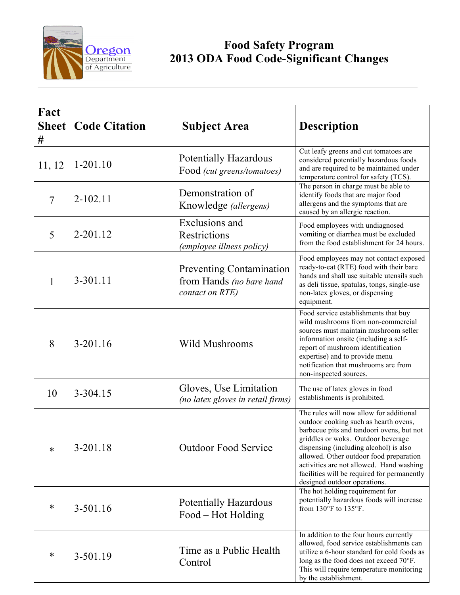

## **Food Safety Program 2013 ODA Food Code-Significant Changes**

| Fact<br><b>Sheet</b><br># | <b>Code Citation</b> | <b>Subject Area</b>                                                            | <b>Description</b>                                                                                                                                                                                                                                                                                                                                                                  |
|---------------------------|----------------------|--------------------------------------------------------------------------------|-------------------------------------------------------------------------------------------------------------------------------------------------------------------------------------------------------------------------------------------------------------------------------------------------------------------------------------------------------------------------------------|
| 11, 12                    | $1-201.10$           | <b>Potentially Hazardous</b><br>Food (cut greens/tomatoes)                     | Cut leafy greens and cut tomatoes are<br>considered potentially hazardous foods<br>and are required to be maintained under<br>temperature control for safety (TCS).                                                                                                                                                                                                                 |
| $\overline{7}$            | $2 - 102.11$         | Demonstration of<br>Knowledge (allergens)                                      | The person in charge must be able to<br>identify foods that are major food<br>allergens and the symptoms that are<br>caused by an allergic reaction.                                                                                                                                                                                                                                |
| 5                         | 2-201.12             | Exclusions and<br>Restrictions<br>(employee illness policy)                    | Food employees with undiagnosed<br>vomiting or diarrhea must be excluded<br>from the food establishment for 24 hours.                                                                                                                                                                                                                                                               |
| 1                         | 3-301.11             | <b>Preventing Contamination</b><br>from Hands (no bare hand<br>contact on RTE) | Food employees may not contact exposed<br>ready-to-eat (RTE) food with their bare<br>hands and shall use suitable utensils such<br>as deli tissue, spatulas, tongs, single-use<br>non-latex gloves, or dispensing<br>equipment.                                                                                                                                                     |
| 8                         | $3-201.16$           | <b>Wild Mushrooms</b>                                                          | Food service establishments that buy<br>wild mushrooms from non-commercial<br>sources must maintain mushroom seller<br>information onsite (including a self-<br>report of mushroom identification<br>expertise) and to provide menu<br>notification that mushrooms are from<br>non-inspected sources.                                                                               |
| 10                        | 3-304.15             | Gloves, Use Limitation<br>(no latex gloves in retail firms)                    | The use of latex gloves in food<br>establishments is prohibited.                                                                                                                                                                                                                                                                                                                    |
| *                         | $3 - 201.18$         | <b>Outdoor Food Service</b>                                                    | The rules will now allow for additional<br>outdoor cooking such as hearth ovens,<br>barbecue pits and tandoori ovens, but not<br>griddles or woks. Outdoor beverage<br>dispensing (including alcohol) is also<br>allowed. Other outdoor food preparation<br>activities are not allowed. Hand washing<br>facilities will be required for permanently<br>designed outdoor operations. |
| ∗                         | 3-501.16             | <b>Potentially Hazardous</b><br>Food – Hot Holding                             | The hot holding requirement for<br>potentially hazardous foods will increase<br>from $130^{\circ}$ F to $135^{\circ}$ F.                                                                                                                                                                                                                                                            |
| ∗                         | 3-501.19             | Time as a Public Health<br>Control                                             | In addition to the four hours currently<br>allowed, food service establishments can<br>utilize a 6-hour standard for cold foods as<br>long as the food does not exceed 70°F.<br>This will require temperature monitoring<br>by the establishment.                                                                                                                                   |